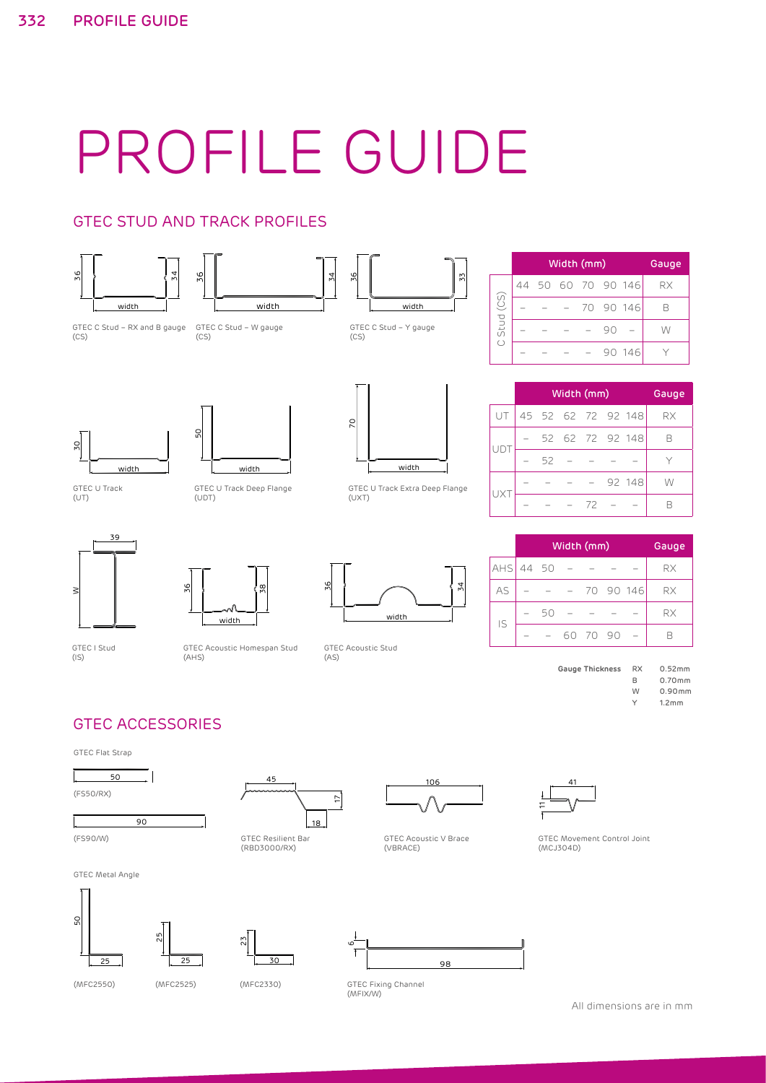# PROFILE GUIDE

## GTEC STUD AND TRACK PROFILES **GTEC STUD AND TRACK PROFILES**

50

50 50

50

 $\mathbb{R}$ 

(UDT) (UDT)

 $\overline{1}$ 

36

36

36



|           |    | Gauge |              |  |           |    |
|-----------|----|-------|--------------|--|-----------|----|
|           | 44 | - 50  | 60 70 90 146 |  |           | RX |
| Stud (CS) |    |       |              |  | 70 90 146 |    |
|           |    |       |              |  |           |    |
| $\circ$   |    |       |              |  | 146       |    |

width (mm)

Gauge

|                                |  |  |    | Width (mm) |  |  |                    |    |  |
|--------------------------------|--|--|----|------------|--|--|--------------------|----|--|
| 20                             |  |  |    |            |  |  | 45 52 62 72 92 148 | RX |  |
|                                |  |  |    |            |  |  | $-52627292148$     |    |  |
| width                          |  |  | 52 |            |  |  |                    |    |  |
| GTEC U Track Extra Deep Flange |  |  |    |            |  |  | - 92 148           |    |  |
| (UXT)                          |  |  |    |            |  |  |                    |    |  |

|           |  | Gauge |     |    |           |    |
|-----------|--|-------|-----|----|-----------|----|
| AHS 44 50 |  |       |     |    |           | RX |
| AS        |  |       |     |    | 70 90 146 | RX |
| IS        |  | 50    |     |    |           | RX |
|           |  |       | -70 | 90 |           |    |

| Gauge Thickness<br>RX | 0.52mm            |
|-----------------------|-------------------|
| R                     | $0.70$ mm         |
| W                     | $0.90$ mm         |
| v                     | 1.2 <sub>mm</sub> |
|                       |                   |



 $\leftarrow$   $\leftarrow$   $\leftarrow$   $\leftarrow$   $\leftarrow$   $\leftarrow$   $\leftarrow$   $\leftarrow$   $\leftarrow$   $\leftarrow$   $\leftarrow$   $\leftarrow$   $\leftarrow$   $\leftarrow$   $\leftarrow$   $\leftarrow$   $\leftarrow$   $\leftarrow$   $\leftarrow$   $\leftarrow$   $\leftarrow$   $\leftarrow$   $\leftarrow$   $\leftarrow$   $\leftarrow$   $\leftarrow$   $\leftarrow$   $\leftarrow$   $\leftarrow$   $\leftarrow$   $\leftarrow$   $\leftarrow$   $\leftarrow$   $\leftarrow$   $\leftarrow$   $\leftarrow$   $\leftarrow$ GTEC Acoustic Homespan Stud (AHS) (AHS)

width width

 $\begin{bmatrix} \overline{\phantom{a}} & \overline{\phantom{a}} \\ \overline{\phantom{a}} & \overline{\phantom{a}} \end{bmatrix}$  width

GTEC U Track Deep Flange

 $\overline{1}$ 

 $\frac{8}{3}$ 

3

38

36

.<br>أ

36

36

GTEC Acoustic Stud (AS) (AS)

width

width width

 $\overline{1}$ 

2<br>प

34

34

 $\overline{r}$ 

| <b>GTEC ACCESSORIES</b> |  |
|-------------------------|--|
|                         |  |

GTEC Flat Strap

 $\overline{\phantom{a}}$ 

 $\geq$ 

W

 $\overline{\phantom{a}}$   $\overline{\phantom{a}}$ 

GTEC U  $\mathbb{U}$ 

GTEC U Track

30 30

30

 $(UT)$ 

width width

 $\frac{3}{2}$ 

39

39



T)



GTEC Resilient Bar (RBD3000/RX)



GTEC Acoustic V Brace

GTEC Movement Control Joint  $\epsilon \longrightarrow \ell$ GTEC Movement Control Joint GTEC Movement Control Joint 41 11  $x \in \mathbb{R}$  x  $x \in \mathbb{R}$  and  $x \in \mathbb{R}$  we will also the set  $x \in \mathbb{R}$  $x \rightarrow 0$  y  $x \rightarrow 0$  y  $x \rightarrow 0$  $\ddot{}$  $\frac{1}{\sqrt{2}}$ 

GTEC Movement Control Joint (MCJ304D)

GTEC Metal Angle





25

25





GTEC Fixing Channel (MFIX/W)



(VBRACE)

AS x 70 90 146 RX